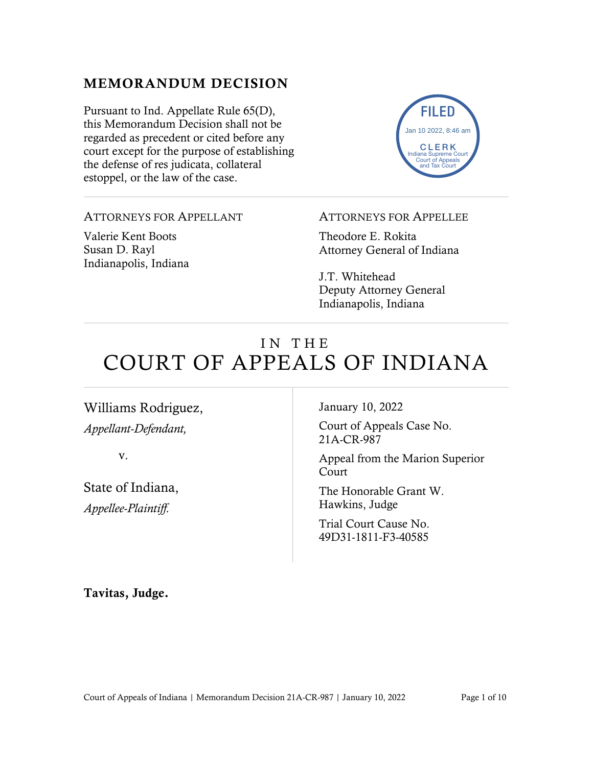## MEMORANDUM DECISION

Pursuant to Ind. Appellate Rule 65(D), this Memorandum Decision shall not be regarded as precedent or cited before any court except for the purpose of establishing the defense of res judicata, collateral estoppel, or the law of the case.



#### ATTORNEYS FOR APPELLANT

Valerie Kent Boots Susan D. Rayl Indianapolis, Indiana

#### ATTORNEYS FOR APPELLEE

Theodore E. Rokita Attorney General of Indiana

J.T. Whitehead Deputy Attorney General Indianapolis, Indiana

# IN THE COURT OF APPEALS OF INDIANA

Williams Rodriguez, *Appellant-Defendant,*

v.

State of Indiana, *Appellee-Plaintiff.* 

January 10, 2022

Court of Appeals Case No. 21A-CR-987

Appeal from the Marion Superior Court

The Honorable Grant W. Hawkins, Judge

Trial Court Cause No. 49D31-1811-F3-40585

Tavitas, Judge.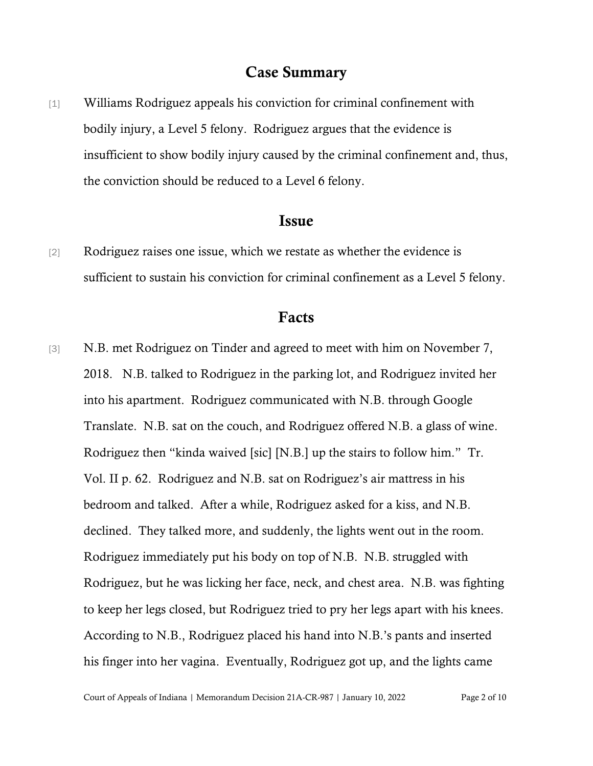#### Case Summary

[1] Williams Rodriguez appeals his conviction for criminal confinement with bodily injury, a Level 5 felony. Rodriguez argues that the evidence is insufficient to show bodily injury caused by the criminal confinement and, thus, the conviction should be reduced to a Level 6 felony.

#### Issue

[2] Rodriguez raises one issue, which we restate as whether the evidence is sufficient to sustain his conviction for criminal confinement as a Level 5 felony.

#### Facts

[3] N.B. met Rodriguez on Tinder and agreed to meet with him on November 7, 2018. N.B. talked to Rodriguez in the parking lot, and Rodriguez invited her into his apartment. Rodriguez communicated with N.B. through Google Translate. N.B. sat on the couch, and Rodriguez offered N.B. a glass of wine. Rodriguez then "kinda waived [sic] [N.B.] up the stairs to follow him." Tr. Vol. II p. 62. Rodriguez and N.B. sat on Rodriguez's air mattress in his bedroom and talked. After a while, Rodriguez asked for a kiss, and N.B. declined. They talked more, and suddenly, the lights went out in the room. Rodriguez immediately put his body on top of N.B. N.B. struggled with Rodriguez, but he was licking her face, neck, and chest area. N.B. was fighting to keep her legs closed, but Rodriguez tried to pry her legs apart with his knees. According to N.B., Rodriguez placed his hand into N.B.'s pants and inserted his finger into her vagina. Eventually, Rodriguez got up, and the lights came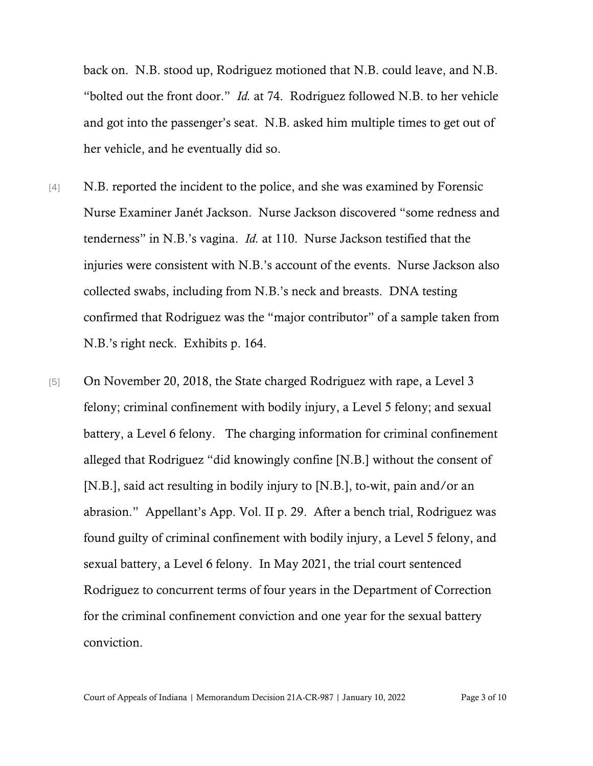back on. N.B. stood up, Rodriguez motioned that N.B. could leave, and N.B. "bolted out the front door." *Id.* at 74. Rodriguez followed N.B. to her vehicle and got into the passenger's seat. N.B. asked him multiple times to get out of her vehicle, and he eventually did so.

- [4] N.B. reported the incident to the police, and she was examined by Forensic Nurse Examiner Janét Jackson. Nurse Jackson discovered "some redness and tenderness" in N.B.'s vagina. *Id.* at 110. Nurse Jackson testified that the injuries were consistent with N.B.'s account of the events. Nurse Jackson also collected swabs, including from N.B.'s neck and breasts. DNA testing confirmed that Rodriguez was the "major contributor" of a sample taken from N.B.'s right neck. Exhibits p. 164.
- [5] On November 20, 2018, the State charged Rodriguez with rape, a Level 3 felony; criminal confinement with bodily injury, a Level 5 felony; and sexual battery, a Level 6 felony. The charging information for criminal confinement alleged that Rodriguez "did knowingly confine [N.B.] without the consent of [N.B.], said act resulting in bodily injury to [N.B.], to-wit, pain and/or an abrasion." Appellant's App. Vol. II p. 29. After a bench trial, Rodriguez was found guilty of criminal confinement with bodily injury, a Level 5 felony, and sexual battery, a Level 6 felony. In May 2021, the trial court sentenced Rodriguez to concurrent terms of four years in the Department of Correction for the criminal confinement conviction and one year for the sexual battery conviction.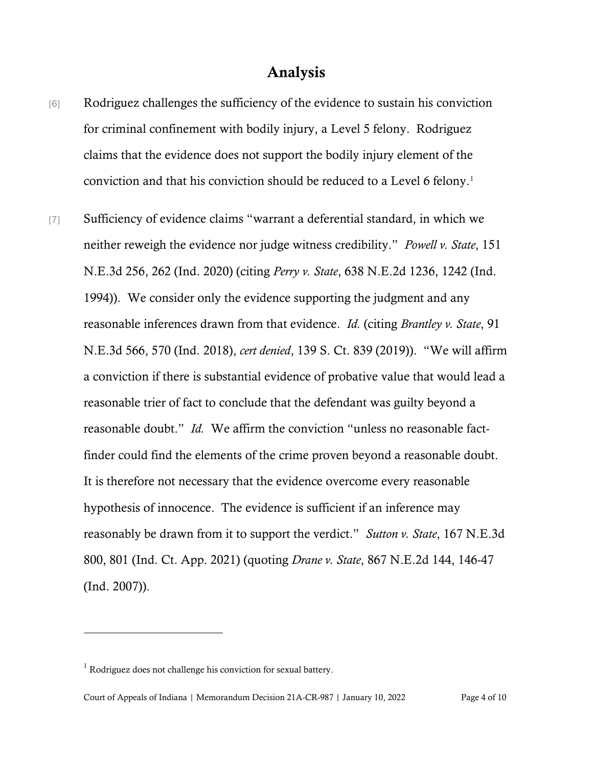### Analysis

- [6] Rodriguez challenges the sufficiency of the evidence to sustain his conviction for criminal confinement with bodily injury, a Level 5 felony. Rodriguez claims that the evidence does not support the bodily injury element of the conviction and that his conviction should be reduced to a Level 6 felony.<sup>[1](#page-3-0)</sup>
- [7] Sufficiency of evidence claims "warrant a deferential standard, in which we neither reweigh the evidence nor judge witness credibility." *Powell v. State*, 151 N.E.3d 256, 262 (Ind. 2020) (citing *Perry v. State*, 638 N.E.2d 1236, 1242 (Ind. 1994)). We consider only the evidence supporting the judgment and any reasonable inferences drawn from that evidence. *Id.* (citing *Brantley v. State*, 91 N.E.3d 566, 570 (Ind. 2018), *cert denied*, 139 S. Ct. 839 (2019)). "We will affirm a conviction if there is substantial evidence of probative value that would lead a reasonable trier of fact to conclude that the defendant was guilty beyond a reasonable doubt." *Id.* We affirm the conviction "unless no reasonable factfinder could find the elements of the crime proven beyond a reasonable doubt. It is therefore not necessary that the evidence overcome every reasonable hypothesis of innocence. The evidence is sufficient if an inference may reasonably be drawn from it to support the verdict." *Sutton v. State*, 167 N.E.3d 800, 801 (Ind. Ct. App. 2021) (quoting *Drane v. State*, 867 N.E.2d 144, 146-47 (Ind. 2007)).

<span id="page-3-0"></span><sup>&</sup>lt;sup>1</sup> Rodriguez does not challenge his conviction for sexual battery.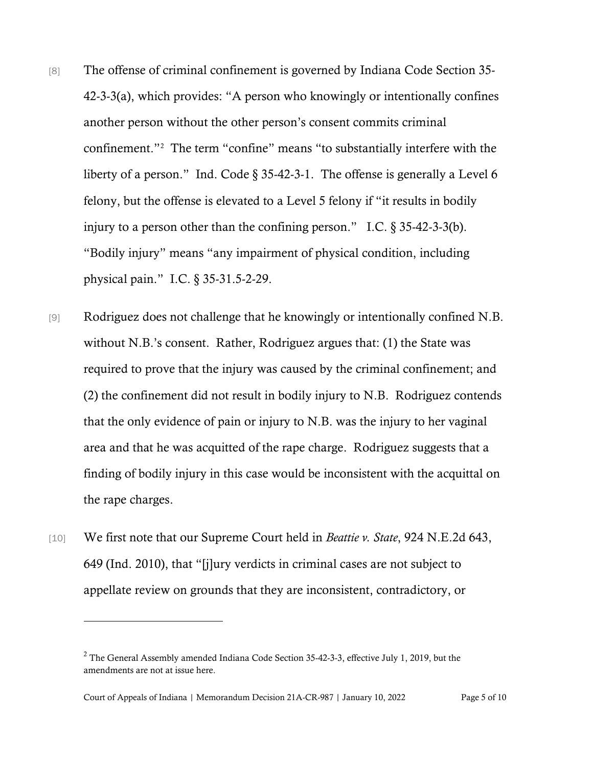- [8] The offense of criminal confinement is governed by Indiana Code Section 35- 42-3-3(a), which provides: "A person who knowingly or intentionally confines another person without the other person's consent commits criminal confinement."[2](#page-4-0) The term "confine" means "to substantially interfere with the liberty of a person." Ind. Code § 35-42-3-1. The offense is generally a Level 6 felony, but the offense is elevated to a Level 5 felony if "it results in bodily injury to a person other than the confining person." I.C. § 35-42-3-3(b). "Bodily injury" means "any impairment of physical condition, including physical pain." I.C. § 35-31.5-2-29.
- [9] Rodriguez does not challenge that he knowingly or intentionally confined N.B. without N.B.'s consent. Rather, Rodriguez argues that: (1) the State was required to prove that the injury was caused by the criminal confinement; and (2) the confinement did not result in bodily injury to N.B. Rodriguez contends that the only evidence of pain or injury to N.B. was the injury to her vaginal area and that he was acquitted of the rape charge. Rodriguez suggests that a finding of bodily injury in this case would be inconsistent with the acquittal on the rape charges.
- [10] We first note that our Supreme Court held in *Beattie v. State*, 924 N.E.2d 643, 649 (Ind. 2010), that "[j]ury verdicts in criminal cases are not subject to appellate review on grounds that they are inconsistent, contradictory, or

<span id="page-4-0"></span><sup>&</sup>lt;sup>2</sup> The General Assembly amended Indiana Code Section 35-42-3-3, effective July 1, 2019, but the amendments are not at issue here.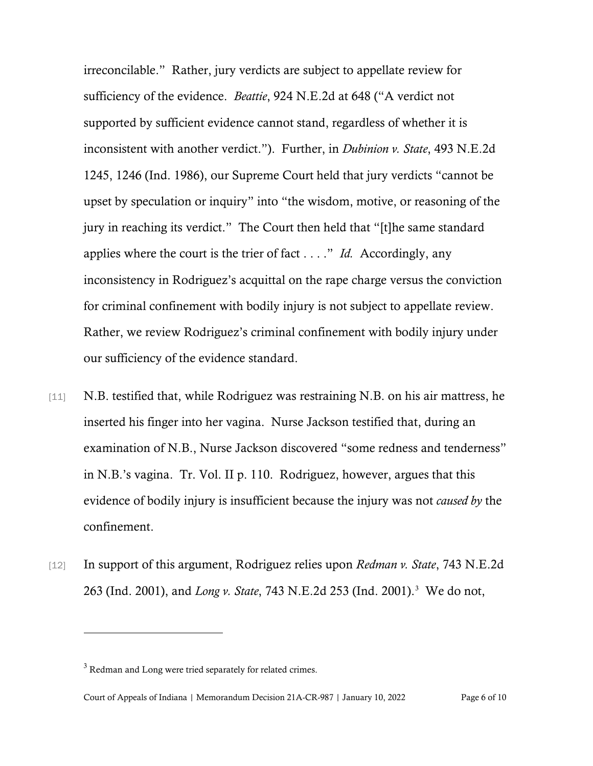irreconcilable." Rather, jury verdicts are subject to appellate review for sufficiency of the evidence. *Beattie*, 924 N.E.2d at 648 ("A verdict not supported by sufficient evidence cannot stand, regardless of whether it is inconsistent with another verdict."). Further, in *Dubinion v. State*, 493 N.E.2d 1245, 1246 (Ind. 1986), our Supreme Court held that jury verdicts "cannot be upset by speculation or inquiry" into "the wisdom, motive, or reasoning of the jury in reaching its verdict." The Court then held that "[t]he same standard applies where the court is the trier of fact . . . ." *Id.* Accordingly, any inconsistency in Rodriguez's acquittal on the rape charge versus the conviction for criminal confinement with bodily injury is not subject to appellate review. Rather, we review Rodriguez's criminal confinement with bodily injury under our sufficiency of the evidence standard.

- [11] N.B. testified that, while Rodriguez was restraining N.B. on his air mattress, he inserted his finger into her vagina. Nurse Jackson testified that, during an examination of N.B., Nurse Jackson discovered "some redness and tenderness" in N.B.'s vagina. Tr. Vol. II p. 110. Rodriguez, however, argues that this evidence of bodily injury is insufficient because the injury was not *caused by* the confinement.
- [12] In support of this argument, Rodriguez relies upon *Redman v. State*, 743 N.E.2d 263 (Ind. 2001), and *Long v. State*, 743 N.E.2d 253 (Ind. 2001). [3](#page-5-0) We do not,

<span id="page-5-0"></span><sup>&</sup>lt;sup>3</sup> Redman and Long were tried separately for related crimes.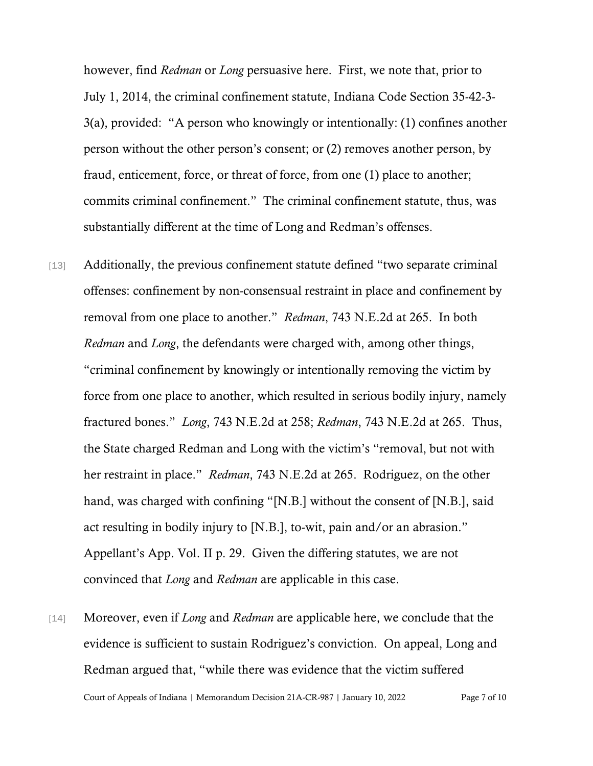however, find *Redman* or *Long* persuasive here. First, we note that, prior to July 1, 2014, the criminal confinement statute, Indiana Code Section 35-42-3- 3(a), provided: "A person who knowingly or intentionally: (1) confines another person without the other person's consent; or (2) removes another person, by fraud, enticement, force, or threat of force, from one (1) place to another; commits criminal confinement." The criminal confinement statute, thus, was substantially different at the time of Long and Redman's offenses.

- [13] Additionally, the previous confinement statute defined "two separate criminal offenses: confinement by non-consensual restraint in place and confinement by removal from one place to another." *Redman*, 743 N.E.2d at 265. In both *Redman* and *Long*, the defendants were charged with, among other things, "criminal confinement by knowingly or intentionally removing the victim by force from one place to another, which resulted in serious bodily injury, namely fractured bones." *Long*, 743 N.E.2d at 258; *Redman*, 743 N.E.2d at 265. Thus, the State charged Redman and Long with the victim's "removal, but not with her restraint in place." *Redman*, 743 N.E.2d at 265. Rodriguez, on the other hand, was charged with confining "[N.B.] without the consent of [N.B.], said act resulting in bodily injury to [N.B.], to-wit, pain and/or an abrasion." Appellant's App. Vol. II p. 29. Given the differing statutes, we are not convinced that *Long* and *Redman* are applicable in this case.
- Court of Appeals of Indiana | Memorandum Decision 21A-CR-987 | January 10, 2022 Page 7 of 10 [14] Moreover, even if *Long* and *Redman* are applicable here, we conclude that the evidence is sufficient to sustain Rodriguez's conviction. On appeal, Long and Redman argued that, "while there was evidence that the victim suffered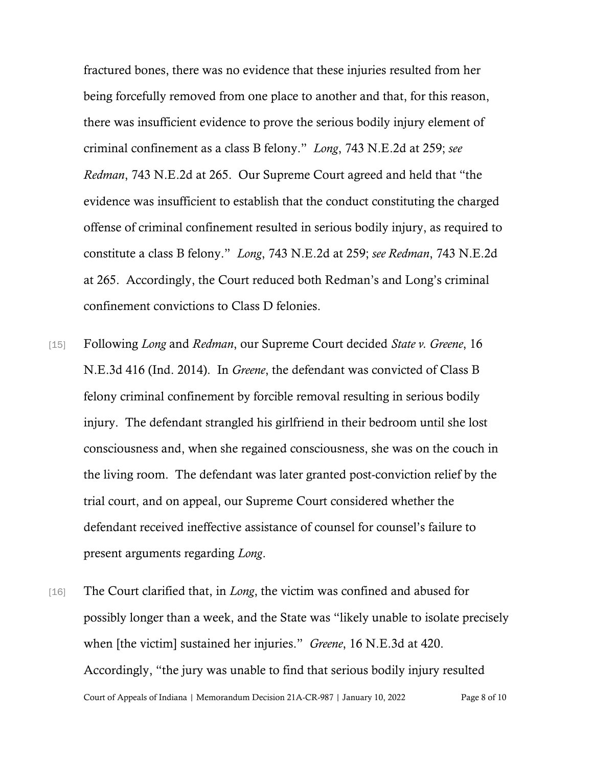fractured bones, there was no evidence that these injuries resulted from her being forcefully removed from one place to another and that, for this reason, there was insufficient evidence to prove the serious bodily injury element of criminal confinement as a class B felony." *Long*, 743 N.E.2d at 259; *see Redman*, 743 N.E.2d at 265. Our Supreme Court agreed and held that "the evidence was insufficient to establish that the conduct constituting the charged offense of criminal confinement resulted in serious bodily injury, as required to constitute a class B felony." *Long*, 743 N.E.2d at 259; *see Redman*, 743 N.E.2d at 265. Accordingly, the Court reduced both Redman's and Long's criminal confinement convictions to Class D felonies.

- [15] Following *Long* and *Redman*, our Supreme Court decided *State v. Greene*, 16 N.E.3d 416 (Ind. 2014). In *Greene*, the defendant was convicted of Class B felony criminal confinement by forcible removal resulting in serious bodily injury. The defendant strangled his girlfriend in their bedroom until she lost consciousness and, when she regained consciousness, she was on the couch in the living room. The defendant was later granted post-conviction relief by the trial court, and on appeal, our Supreme Court considered whether the defendant received ineffective assistance of counsel for counsel's failure to present arguments regarding *Long*.
- Court of Appeals of Indiana | Memorandum Decision 21A-CR-987 | January 10, 2022 Page 8 of 10 [16] The Court clarified that, in *Long*, the victim was confined and abused for possibly longer than a week, and the State was "likely unable to isolate precisely when [the victim] sustained her injuries." *Greene*, 16 N.E.3d at 420. Accordingly, "the jury was unable to find that serious bodily injury resulted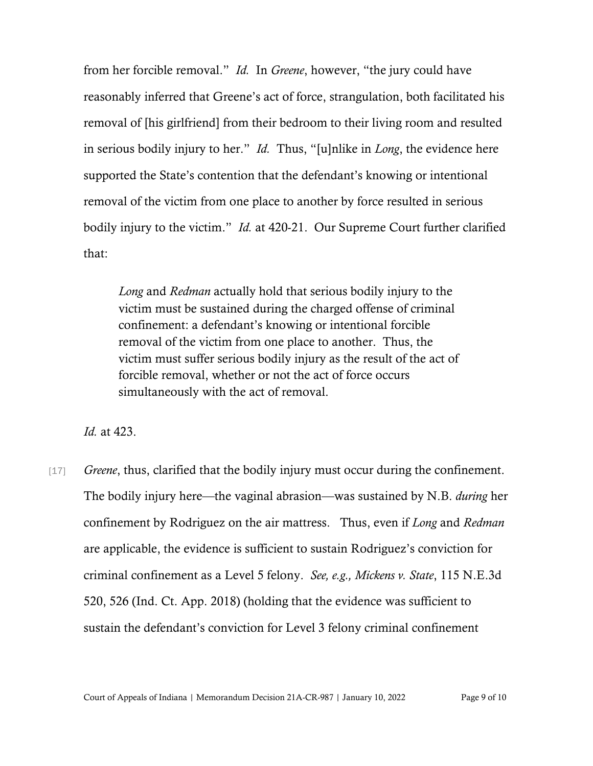from her forcible removal." *Id.* In *Greene*, however, "the jury could have reasonably inferred that Greene's act of force, strangulation, both facilitated his removal of [his girlfriend] from their bedroom to their living room and resulted in serious bodily injury to her." *Id.* Thus, "[u]nlike in *Long*, the evidence here supported the State's contention that the defendant's knowing or intentional removal of the victim from one place to another by force resulted in serious bodily injury to the victim." *Id.* at 420-21. Our Supreme Court further clarified that:

*Long* and *Redman* actually hold that serious bodily injury to the victim must be sustained during the charged offense of criminal confinement: a defendant's knowing or intentional forcible removal of the victim from one place to another. Thus, the victim must suffer serious bodily injury as the result of the act of forcible removal, whether or not the act of force occurs simultaneously with the act of removal.

*Id.* at 423.

[17] *Greene*, thus, clarified that the bodily injury must occur during the confinement. The bodily injury here—the vaginal abrasion—was sustained by N.B. *during* her confinement by Rodriguez on the air mattress. Thus, even if *Long* and *Redman* are applicable, the evidence is sufficient to sustain Rodriguez's conviction for criminal confinement as a Level 5 felony. *See, e.g., Mickens v. State*, 115 N.E.3d 520, 526 (Ind. Ct. App. 2018) (holding that the evidence was sufficient to sustain the defendant's conviction for Level 3 felony criminal confinement